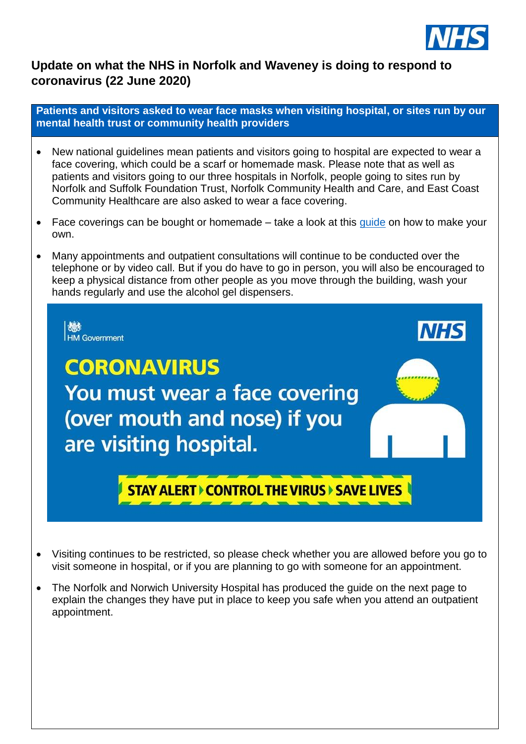

### **Update on what the NHS in Norfolk and Waveney is doing to respond to coronavirus (22 June 2020)**

**Patients and visitors asked to wear face masks when visiting hospital, or sites run by our mental health trust or community health providers** 

- New national guidelines mean patients and visitors going to hospital are expected to wear a face covering, which could be a scarf or homemade mask. Please note that as well as patients and visitors going to our three hospitals in Norfolk, people going to sites run by Norfolk and Suffolk Foundation Trust, Norfolk Community Health and Care, and East Coast Community Healthcare are also asked to wear a face covering.
- Face coverings can be bought or homemade  $-$  take a look at this [guide](https://www.gov.uk/government/publications/how-to-wear-and-make-a-cloth-face-covering/how-to-wear-and-make-a-cloth-face-covering) on how to make your own.
- Many appointments and outpatient consultations will continue to be conducted over the telephone or by video call. But if you do have to go in person, you will also be encouraged to keep a physical distance from other people as you move through the building, wash your hands regularly and use the alcohol gel dispensers.



- Visiting continues to be restricted, so please check whether you are allowed before you go to visit someone in hospital, or if you are planning to go with someone for an appointment.
- The Norfolk and Norwich University Hospital has produced the quide on the next page to explain the changes they have put in place to keep you safe when you attend an outpatient appointment.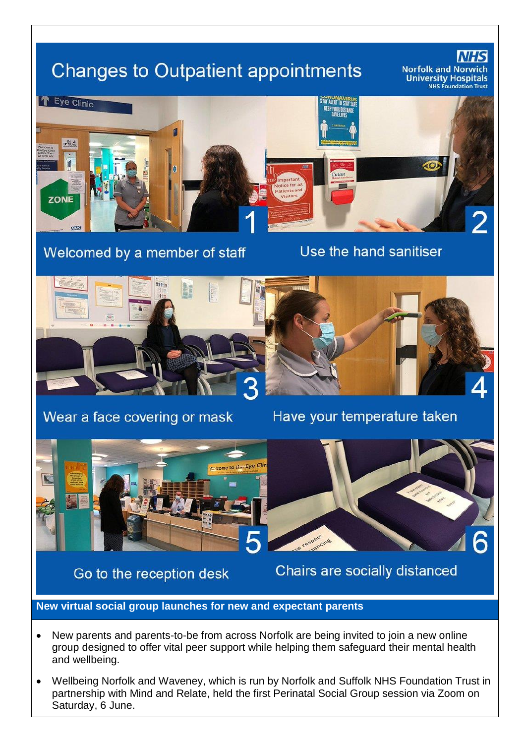# **Changes to Outpatient appointments**

**Norfolk and No** University Hospitals



# Welcomed by a member of staff

Use the hand sanitiser



## Wear a face covering or mask

Have your temperature taken



Go to the reception desk



Chairs are socially distanced

#### **New virtual social group launches for new and expectant parents**

- New parents and parents-to-be from across Norfolk are being invited to join a new online group designed to offer vital peer support while helping them safeguard their mental health and wellbeing.
- Wellbeing Norfolk and Waveney, which is run by Norfolk and Suffolk NHS Foundation Trust in partnership with Mind and Relate, held the first Perinatal Social Group session via Zoom on Saturday, 6 June.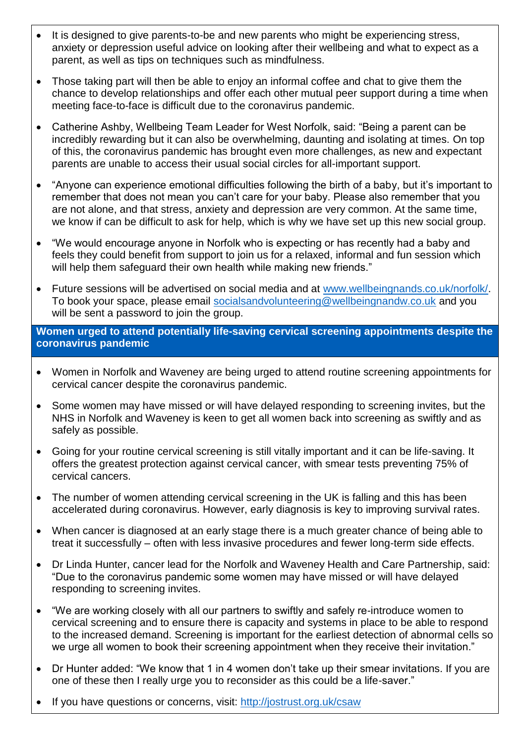- It is designed to give parents-to-be and new parents who might be experiencing stress, anxiety or depression useful advice on looking after their wellbeing and what to expect as a parent, as well as tips on techniques such as mindfulness.
- Those taking part will then be able to enjoy an informal coffee and chat to give them the chance to develop relationships and offer each other mutual peer support during a time when meeting face-to-face is difficult due to the coronavirus pandemic.
- Catherine Ashby, Wellbeing Team Leader for West Norfolk, said: "Being a parent can be incredibly rewarding but it can also be overwhelming, daunting and isolating at times. On top of this, the coronavirus pandemic has brought even more challenges, as new and expectant parents are unable to access their usual social circles for all-important support.
- "Anyone can experience emotional difficulties following the birth of a baby, but it's important to remember that does not mean you can't care for your baby. Please also remember that you are not alone, and that stress, anxiety and depression are very common. At the same time, we know if can be difficult to ask for help, which is why we have set up this new social group.
- "We would encourage anyone in Norfolk who is expecting or has recently had a baby and feels they could benefit from support to join us for a relaxed, informal and fun session which will help them safeguard their own health while making new friends."
- Future sessions will be advertised on social media and at [www.wellbeingnands.co.uk/norfolk/.](http://www.wellbeingnands.co.uk/norfolk/) To book your space, please email [socialsandvolunteering@wellbeingnandw.co.uk](mailto:socialsandvolunteering@wellbeingnandw.co.uk) and you will be sent a password to join the group.

**Women urged to attend potentially life-saving cervical screening appointments despite the coronavirus pandemic**

- Women in Norfolk and Waveney are being urged to attend routine screening appointments for cervical cancer despite the coronavirus pandemic.
- Some women may have missed or will have delayed responding to screening invites, but the NHS in Norfolk and Waveney is keen to get all women back into screening as swiftly and as safely as possible.
- Going for your routine cervical screening is still vitally important and it can be life-saving. It offers the greatest protection against cervical cancer, with smear tests preventing 75% of cervical cancers.
- The number of women attending cervical screening in the UK is falling and this has been accelerated during coronavirus. However, early diagnosis is key to improving survival rates.
- When cancer is diagnosed at an early stage there is a much greater chance of being able to treat it successfully – often with less invasive procedures and fewer long-term side effects.
- Dr Linda Hunter, cancer lead for the Norfolk and Waveney Health and Care Partnership, said: "Due to the coronavirus pandemic some women may have missed or will have delayed responding to screening invites.
- "We are working closely with all our partners to swiftly and safely re-introduce women to cervical screening and to ensure there is capacity and systems in place to be able to respond to the increased demand. Screening is important for the earliest detection of abnormal cells so we urge all women to book their screening appointment when they receive their invitation."
- Dr Hunter added: "We know that 1 in 4 women don't take up their smear invitations. If you are one of these then I really urge you to reconsider as this could be a life-saver."
- If you have questions or concerns, visit:<http://jostrust.org.uk/csaw>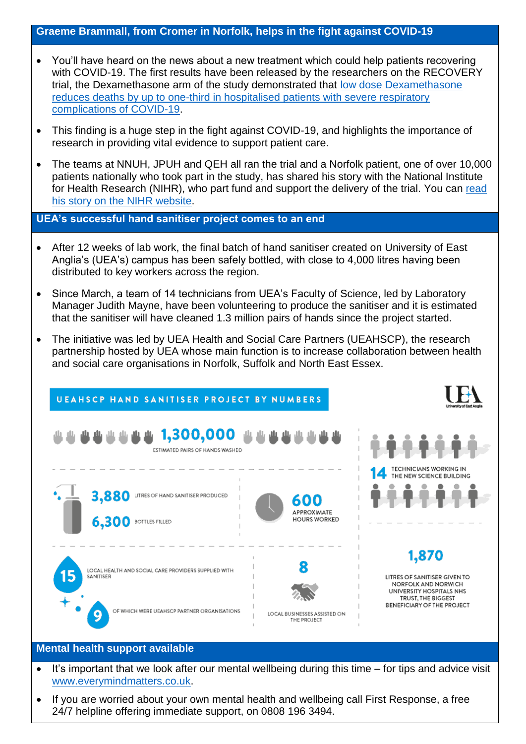#### **Graeme Brammall, from Cromer in Norfolk, helps in the fight against COVID-19**

- You'll have heard on the news about a new treatment which could help patients recovering with COVID-19. The first results have been released by the researchers on the RECOVERY trial, the Dexamethasone arm of the study demonstrated that [low dose Dexamethasone](https://www.recoverytrial.net/news/low-cost-dexamethasone-reduces-death-by-up-to-one-third-in-hospitalised-patients-with-severe-respiratory-complications-of-covid-19)  [reduces deaths by up to one-third in hospitalised patients with severe respiratory](https://www.recoverytrial.net/news/low-cost-dexamethasone-reduces-death-by-up-to-one-third-in-hospitalised-patients-with-severe-respiratory-complications-of-covid-19)  [complications of COVID-19.](https://www.recoverytrial.net/news/low-cost-dexamethasone-reduces-death-by-up-to-one-third-in-hospitalised-patients-with-severe-respiratory-complications-of-covid-19)
- This finding is a huge step in the fight against COVID-19, and highlights the importance of research in providing vital evidence to support patient care.
- The teams at NNUH, JPUH and QEH all ran the trial and a Norfolk patient, one of over 10,000 patients nationally who took part in the study, has shared his story with the National Institute for Health Research (NIHR), who part fund and support the delivery of the trial. You can [read](https://nihr.us12.list-manage.com/track/click?u=715d1cd7785484cc02f317834&id=7735a9ae78&e=88456eacb2)  his story on [the NIHR website.](https://nihr.us12.list-manage.com/track/click?u=715d1cd7785484cc02f317834&id=7735a9ae78&e=88456eacb2)

**UEA's successful hand sanitiser project comes to an end**

- After 12 weeks of lab work, the final batch of hand sanitiser created on University of East Anglia's (UEA's) campus has been safely bottled, with close to 4,000 litres having been distributed to key workers across the region.
- Since March, a team of 14 technicians from UEA's Faculty of Science, led by Laboratory Manager Judith Mayne, have been volunteering to produce the sanitiser and it is estimated that the sanitiser will have cleaned 1.3 million pairs of hands since the project started.
- The initiative was led by UEA Health and Social Care Partners (UEAHSCP), the research partnership hosted by UEA whose main function is to increase collaboration between health and social care organisations in Norfolk, Suffolk and North East Essex.

|    | <b>UEAHSCP HAND SANITISER PROJECT BY NUMBERS</b>                                                                       | <b>University of East Anglia</b>                                                         |
|----|------------------------------------------------------------------------------------------------------------------------|------------------------------------------------------------------------------------------|
|    | 4444444444 1,300,000 44444444<br>ESTIMATED PAIRS OF HANDS WASHED                                                       | <b>TECHNICIANS WORKING IN</b><br>THE NEW SCIENCE BUILDING                                |
|    | 3,880<br>LITRES OF HAND SANITISER PRODUCED<br>600<br>APPROXIMATE<br><b>HOURS WORKED</b><br><b>6,300 BOTTLES FILLED</b> |                                                                                          |
| 15 | LOCAL HEALTH AND SOCIAL CARE PROVIDERS SUPPLIED WITH<br>SANITISER                                                      | 1,870<br>LITRES OF SANITISER GIVEN TO<br>NORFOLK AND NORWICH<br>UNIVERSITY HOSPITALS NHS |
|    | OF WHICH WERE UEAHSCP PARTNER ORGANISATIONS<br>LOCAL BUSINESSES ASSISTED ON<br>۰<br>THE PROJECT                        | TRUST, THE BIGGEST<br><b>BENEFICIARY OF THE PROJECT</b>                                  |

#### **Mental health support available**

- $\bullet$  It's important that we look after our mental wellbeing during this time  $-$  for tips and advice visit [www.everymindmatters.co.uk.](http://www.everymindmatters.co.uk/)
- If you are worried about your own mental health and wellbeing call First Response, a free 24/7 helpline offering immediate support, on 0808 196 3494.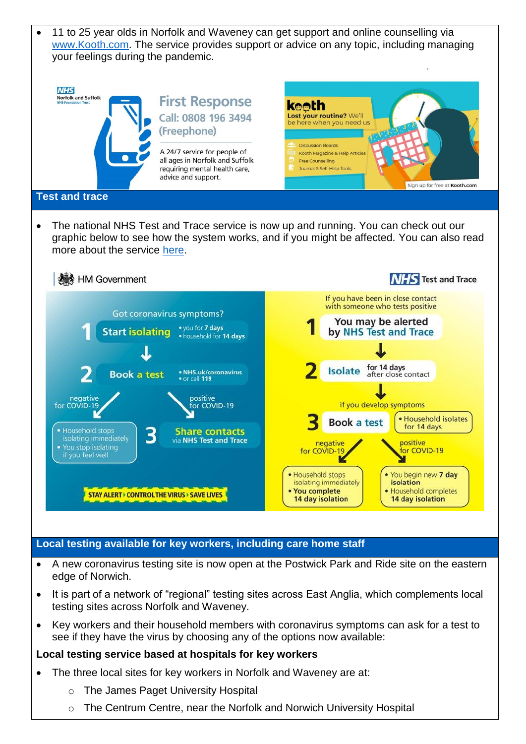

- A new coronavirus testing site is now open at the Postwick Park and Ride site on the eastern edge of Norwich.
- It is part of a network of "regional" testing sites across East Anglia, which complements local testing sites across Norfolk and Waveney.
- Key workers and their household members with coronavirus symptoms can ask for a test to see if they have the virus by choosing any of the options now available:

#### **Local testing service based at hospitals for key workers**

- The three local sites for key workers in Norfolk and Waveney are at:
	- o The James Paget University Hospital
	- $\circ$  The Centrum Centre, near the Norfolk and Norwich University Hospital